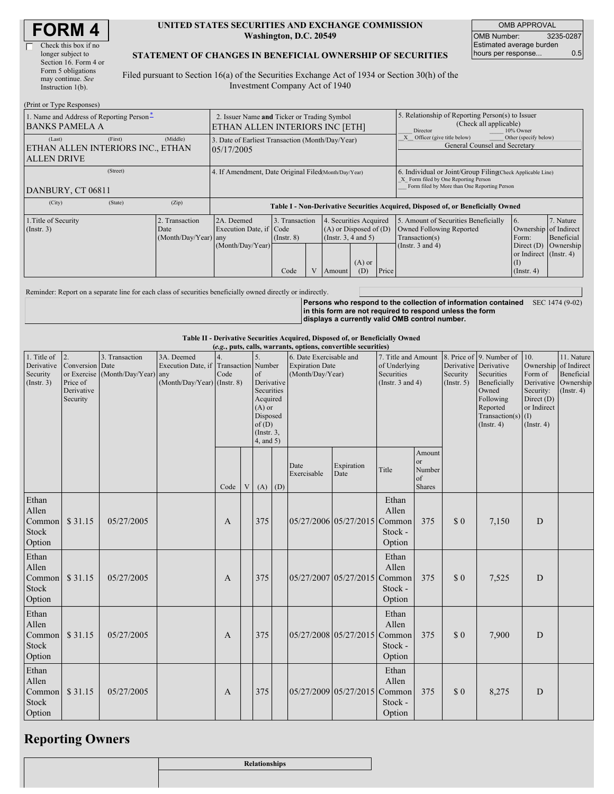| <b>FORM 4</b> |
|---------------|
|---------------|

#### **UNITED STATES SECURITIES AND EXCHANGE COMMISSION Washington, D.C. 20549**

OMB APPROVAL OMB Number: 3235-0287 Estimated average burden hours per response... 0.5

### **STATEMENT OF CHANGES IN BENEFICIAL OWNERSHIP OF SECURITIES**

Filed pursuant to Section 16(a) of the Securities Exchange Act of 1934 or Section 30(h) of the Investment Company Act of 1940

| (Print or Type Responses)                                                                |                                                                                |                                                      |                                                                                  |                                                                                                                                                             |  |                                                                                                             |                                                                                                                                                                                             |                                                                                                                                                    |  |  |  |
|------------------------------------------------------------------------------------------|--------------------------------------------------------------------------------|------------------------------------------------------|----------------------------------------------------------------------------------|-------------------------------------------------------------------------------------------------------------------------------------------------------------|--|-------------------------------------------------------------------------------------------------------------|---------------------------------------------------------------------------------------------------------------------------------------------------------------------------------------------|----------------------------------------------------------------------------------------------------------------------------------------------------|--|--|--|
| 1. Name and Address of Reporting Person-<br><b>BANKS PAMELA A</b>                        | 2. Issuer Name and Ticker or Trading Symbol<br>ETHAN ALLEN INTERIORS INC [ETH] |                                                      |                                                                                  |                                                                                                                                                             |  |                                                                                                             | 5. Relationship of Reporting Person(s) to Issuer<br>(Check all applicable)<br>10% Owner<br>Director<br>Other (specify below)<br>Officer (give title below)<br>General Counsel and Secretary |                                                                                                                                                    |  |  |  |
| (First)<br>(Middle)<br>(Last)<br>ETHAN ALLEN INTERIORS INC., ETHAN<br><b>ALLEN DRIVE</b> |                                                                                |                                                      | 3. Date of Earliest Transaction (Month/Day/Year)<br>05/17/2005                   |                                                                                                                                                             |  |                                                                                                             |                                                                                                                                                                                             |                                                                                                                                                    |  |  |  |
| DANBURY, CT 06811                                                                        |                                                                                | 4. If Amendment, Date Original Filed(Month/Day/Year) |                                                                                  |                                                                                                                                                             |  |                                                                                                             |                                                                                                                                                                                             | 6. Individual or Joint/Group Filing Check Applicable Line)<br>X Form filed by One Reporting Person<br>Form filed by More than One Reporting Person |  |  |  |
| (City)                                                                                   | (State)                                                                        | (Zip)                                                | Table I - Non-Derivative Securities Acquired, Disposed of, or Beneficially Owned |                                                                                                                                                             |  |                                                                                                             |                                                                                                                                                                                             |                                                                                                                                                    |  |  |  |
| 1. Title of Security<br>$($ Instr. 3 $)$                                                 |                                                                                | Transaction<br>Date<br>$(Month/Day/Year)$ any        | 2A. Deemed<br>Execution Date, if Code<br>(Month/Day/Year)                        | 4. Securities Acquired<br>3. Transaction<br>$(A)$ or Disposed of $(D)$<br>(Insert. 3, 4 and 5)<br>(Insert. 8)<br>$(A)$ or<br>Price<br>Code<br>(D)<br>Amount |  | 5. Amount of Securities Beneficially<br>Owned Following Reported<br>Transaction(s)<br>(Instr. $3$ and $4$ ) | $\overline{6}$ .<br>Ownership of Indirect<br>Form:<br>or Indirect (Instr. 4)<br>(I)<br>$($ Instr. 4)                                                                                        | 7. Nature<br>Beneficial<br>Direct $(D)$ Ownership                                                                                                  |  |  |  |

Reminder: Report on a separate line for each class of securities beneficially owned directly or indirectly.

**Persons who respond to the collection of information contained in this form are not required to respond unless the form displays a currently valid OMB control number.** SEC 1474 (9-02)

#### **Table II - Derivative Securities Acquired, Disposed of, or Beneficially Owned**

|                                                      | (e.g., puts, calls, warrants, options, convertible securities)            |                                                    |                                                                                    |              |   |                                                                                                             |     |                                                                       |                              |                                                                             |                                                          |                         |                                                                                                                                                         |                                                                                                  |                                                                                |
|------------------------------------------------------|---------------------------------------------------------------------------|----------------------------------------------------|------------------------------------------------------------------------------------|--------------|---|-------------------------------------------------------------------------------------------------------------|-----|-----------------------------------------------------------------------|------------------------------|-----------------------------------------------------------------------------|----------------------------------------------------------|-------------------------|---------------------------------------------------------------------------------------------------------------------------------------------------------|--------------------------------------------------------------------------------------------------|--------------------------------------------------------------------------------|
| 1. Title of<br>Derivative<br>Security<br>(Insert. 3) | $\overline{2}$ .<br>Conversion Date<br>Price of<br>Derivative<br>Security | 3. Transaction<br>or Exercise (Month/Day/Year) any | 3A. Deemed<br>Execution Date, if Transaction Number<br>(Month/Day/Year) (Instr. 8) | Code         |   | of<br>Derivative<br>Securities<br>Acquired<br>$(A)$ or<br>Disposed<br>of(D)<br>$($ Instr. $3,$<br>4, and 5) |     | 6. Date Exercisable and<br><b>Expiration Date</b><br>(Month/Day/Year) |                              | 7. Title and Amount<br>of Underlying<br>Securities<br>(Instr. $3$ and $4$ ) |                                                          | Security<br>(Insert. 5) | 8. Price of 9. Number of<br>Derivative Derivative<br>Securities<br>Beneficially<br>Owned<br>Following<br>Reported<br>Transaction(s)<br>$($ Instr. 4 $)$ | 10.<br>Ownership<br>Form of<br>Security:<br>Direct (D)<br>or Indirect<br>(I)<br>$($ Instr. 4 $)$ | 11. Nature<br>of Indirect<br>Beneficial<br>Derivative Ownership<br>(Insert. 4) |
|                                                      |                                                                           |                                                    |                                                                                    | Code         | V | (A)                                                                                                         | (D) | Date<br>Exercisable                                                   | Expiration<br>Date           | Title                                                                       | Amount<br><sub>or</sub><br>Number<br>of<br><b>Shares</b> |                         |                                                                                                                                                         |                                                                                                  |                                                                                |
| Ethan<br>Allen<br>Common<br><b>Stock</b><br>Option   | \$31.15                                                                   | 05/27/2005                                         |                                                                                    | A            |   | 375                                                                                                         |     |                                                                       | 05/27/2006 05/27/2015        | Ethan<br>Allen<br>Common<br>Stock -<br>Option                               | 375                                                      | \$0                     | 7,150                                                                                                                                                   | D                                                                                                |                                                                                |
| Ethan<br>Allen<br>Common<br><b>Stock</b><br>Option   | \$31.15                                                                   | 05/27/2005                                         |                                                                                    | A            |   | 375                                                                                                         |     |                                                                       | 05/27/2007 05/27/2015        | Ethan<br>Allen<br>Common<br>Stock -<br>Option                               | 375                                                      | \$0                     | 7,525                                                                                                                                                   | D                                                                                                |                                                                                |
| Ethan<br>Allen<br>Common<br><b>Stock</b><br>Option   | \$31.15                                                                   | 05/27/2005                                         |                                                                                    | A            |   | 375                                                                                                         |     |                                                                       | 05/27/2008 05/27/2015        | Ethan<br>Allen<br>Common<br>Stock -<br>Option                               | 375                                                      | $\Omega$                | 7,900                                                                                                                                                   | ${\bf D}$                                                                                        |                                                                                |
| Ethan<br>Allen<br>Common<br><b>Stock</b><br>Option   | \$31.15                                                                   | 05/27/2005                                         |                                                                                    | $\mathbf{A}$ |   | 375                                                                                                         |     |                                                                       | 05/27/2009 05/27/2015 Common | Ethan<br>Allen<br>Stock -<br>Option                                         | 375                                                      | $\Omega$                | 8,275                                                                                                                                                   | D                                                                                                |                                                                                |

### **Reporting Owners**

| Relationships |
|---------------|
|               |